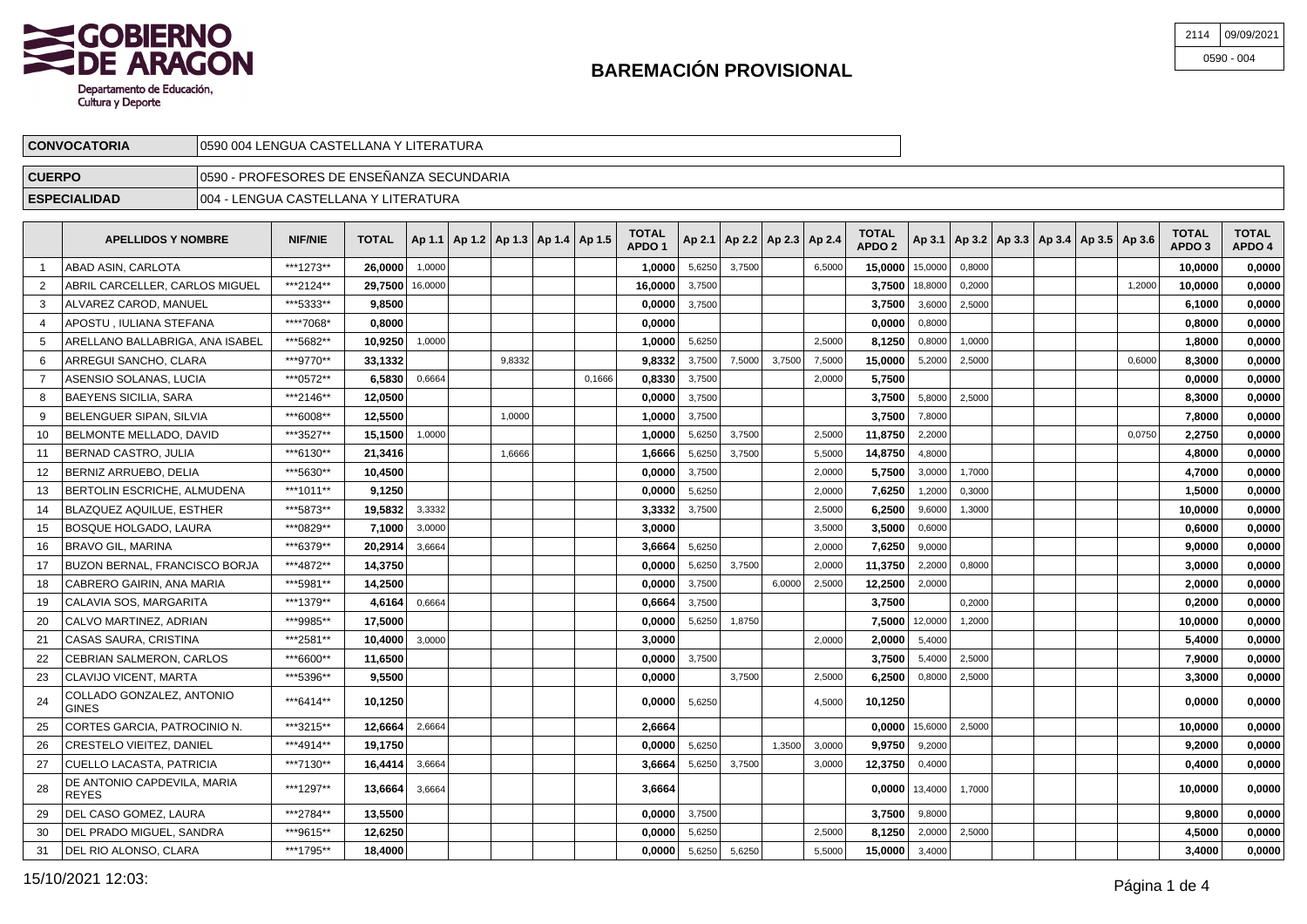

| 2114 09/09/2021 |
|-----------------|
| $0590 - 004$    |

| <b>CONVOCATORIA</b> | 10590 004 LENGUA CASTELLANA Y LITERATURA      |  |
|---------------------|-----------------------------------------------|--|
| <b>CUERPO</b>       | - PROFESORES DE ENSEÑANZA SECUNDARIA<br>10590 |  |
| <b>ESPECIALIDAD</b> | 1004<br>LENGUA CASTELLANA Y LITERATURA        |  |

|    | <b>APELLIDOS Y NOMBRE</b>                   | <b>NIF/NIE</b> | <b>TOTAL</b> |         | Ap 1.1   Ap 1.2   Ap 1.3   Ap 1.4   Ap 1.5 |        |        | TOTAL<br>APDO <sub>1</sub> |        |        | Ap 2.1   Ap 2.2   Ap 2.3   Ap 2.4 |        | <b>TOTAL</b><br>APDO <sub>2</sub> |         | Ap 3.1   Ap 3.2   Ap 3.3   Ap 3.4   Ap 3.5   Ap 3.6 |  |        | <b>TOTAL</b><br>APDO <sub>3</sub> | <b>TOTAL</b><br>APDO 4 |
|----|---------------------------------------------|----------------|--------------|---------|--------------------------------------------|--------|--------|----------------------------|--------|--------|-----------------------------------|--------|-----------------------------------|---------|-----------------------------------------------------|--|--------|-----------------------------------|------------------------|
|    | ABAD ASIN, CARLOTA                          | ***1273**      | 26.0000      | 1,0000  |                                            |        |        | 1,0000                     | 5,6250 | 3,7500 |                                   | 6,5000 | 15,0000                           | 15,0000 | 0,8000                                              |  |        | 10,0000                           | 0,0000                 |
|    | ABRIL CARCELLER, CARLOS MIGUEL              | ***2124**      | 29.7500      | 16,0000 |                                            |        |        | 16.0000                    | 3,7500 |        |                                   |        | 3.7500                            | 18,8000 | 0,2000                                              |  | 1,2000 | 10.0000                           | 0.0000                 |
|    | ALVAREZ CAROD, MANUEL                       | ***5333**      | 9,8500       |         |                                            |        |        | 0,0000                     | 3,7500 |        |                                   |        | 3,7500                            | 3,6000  | 2,5000                                              |  |        | 6,1000                            | 0,0000                 |
|    | APOSTU. IULIANA STEFANA                     | ****7068*      | 0.8000       |         |                                            |        |        | 0.0000                     |        |        |                                   |        | 0.0000                            | 0,8000  |                                                     |  |        | 0,8000                            | 0,0000                 |
|    | ARELLANO BALLABRIGA. ANA ISABEL             | ***5682**      | 10.9250      | 1,0000  |                                            |        |        | 1.0000                     | 5.6250 |        |                                   | 2.5000 | 8.1250                            | 0,8000  | 1,0000                                              |  |        | 1.8000                            | 0.0000                 |
| 6  | ARREGUI SANCHO, CLARA                       | ***9770**      | 33,1332      |         |                                            | 9,8332 |        | 9,8332                     | 3,7500 | 7,5000 | 3,7500                            | 7,5000 | 15,0000                           | 5,2000  | 2,5000                                              |  | 0,6000 | 8,3000                            | 0,0000                 |
|    | ASENSIO SOLANAS. LUCIA                      | ***0572**      | 6,5830       | 0,6664  |                                            |        | 0.1666 | 0,8330                     | 3,7500 |        |                                   | 2,0000 | 5,7500                            |         |                                                     |  |        | 0,0000                            | 0,0000                 |
|    | BAEYENS SICILIA, SARA                       | ***2146**      | 12,0500      |         |                                            |        |        | 0,0000                     | 3,7500 |        |                                   |        | 3,7500                            | 5,8000  | 2,5000                                              |  |        | 8,3000                            | 0,0000                 |
|    | BELENGUER SIPAN, SILVIA                     | ***6008**      | 12,5500      |         |                                            | 1,0000 |        | 1,0000                     | 3,7500 |        |                                   |        | 3,7500                            | 7,8000  |                                                     |  |        | 7,8000                            | 0,0000                 |
| 10 | <b>IBELMONTE MELLADO. DAVID</b>             | ***3527**      | 15.1500      | 1,0000  |                                            |        |        | 1.0000                     | 5,6250 | 3.7500 |                                   | 2,5000 | 11,8750                           | 2,2000  |                                                     |  | 0.0750 | 2.2750                            | 0.0000                 |
| 11 | <b>BERNAD CASTRO, JULIA</b>                 | ***6130**      | 21,3416      |         |                                            | 1,6666 |        | 1,6666                     | 5,6250 | 3,7500 |                                   | 5,5000 | 14,8750                           | 4,8000  |                                                     |  |        | 4,8000                            | 0,0000                 |
| 12 | BERNIZ ARRUEBO. DELIA                       | ***5630**      | 10,4500      |         |                                            |        |        | 0,0000                     | 3.7500 |        |                                   | 2,0000 | 5,7500                            | 3,0000  | 1.7000                                              |  |        | 4,7000                            | 0,0000                 |
| 13 | BERTOLIN ESCRICHE, ALMUDENA                 | ***1011**      | 9,1250       |         |                                            |        |        | 0,0000                     | 5,6250 |        |                                   | 2,0000 | 7,6250                            | 1,2000  | 0,3000                                              |  |        | 1,5000                            | 0,0000                 |
| 14 | BLAZQUEZ AQUILUE, ESTHER                    | ***5873**      | 19,5832      | 3,3332  |                                            |        |        | 3,3332                     | 3,7500 |        |                                   | 2,5000 | 6,2500                            | 9,6000  | 1,3000                                              |  |        | 10,0000                           | 0,0000                 |
| 15 | BOSQUE HOLGADO. LAURA                       | ***0829**      | 7.1000       | 3,0000  |                                            |        |        | 3.0000                     |        |        |                                   | 3,5000 | 3.5000                            | 0,6000  |                                                     |  |        | 0.6000                            | 0.0000                 |
| 16 | <b>BRAVO GIL, MARINA</b>                    | ***6379**      | 20,2914      | 3,6664  |                                            |        |        | 3,6664                     | 5,6250 |        |                                   | 2,0000 | 7,6250                            | 9,0000  |                                                     |  |        | 9,0000                            | 0,0000                 |
| 17 | BUZON BERNAL. FRANCISCO BORJA               | ***4872**      | 14,3750      |         |                                            |        |        | 0.0000                     | 5.6250 | 3.7500 |                                   | 2.0000 | 11.3750                           | 2.2000  | 0,8000                                              |  |        | 3,0000                            | 0,0000                 |
| 18 | CABRERO GAIRIN, ANA MARIA                   | ***5981**      | 14,2500      |         |                                            |        |        | 0,0000                     | 3,7500 |        | 6,0000                            | 2,5000 | 12,2500                           | 2,0000  |                                                     |  |        | 2,0000                            | 0,0000                 |
| 19 | CALAVIA SOS. MARGARITA                      | ***1379**      | 4,6164       | 0,6664  |                                            |        |        | 0,6664                     | 3,7500 |        |                                   |        | 3,7500                            |         | 0,2000                                              |  |        | 0,2000                            | 0,0000                 |
| 20 | CALVO MARTINEZ. ADRIAN                      | ***9985**      | 17.5000      |         |                                            |        |        | 0.0000                     | 5,6250 | 1,8750 |                                   |        | 7.5000                            | 12,0000 | 1,2000                                              |  |        | 10,0000                           | 0,0000                 |
| 21 | CASAS SAURA, CRISTINA                       | ***2581**      | 10.4000      | 3,0000  |                                            |        |        | 3,0000                     |        |        |                                   | 2,0000 | 2,0000                            | 5,4000  |                                                     |  |        | 5,4000                            | 0,0000                 |
| 22 | CEBRIAN SALMERON, CARLOS                    | ***6600**      | 11.6500      |         |                                            |        |        | 0.0000                     | 3,7500 |        |                                   |        | 3.7500                            | 5,4000  | 2,5000                                              |  |        | 7.9000                            | 0,0000                 |
| 23 | <b>CLAVIJO VICENT, MARTA</b>                | ***5396**      | 9,5500       |         |                                            |        |        | 0,0000                     |        | 3,7500 |                                   | 2,5000 | 6,2500                            | 0,8000  | 2,5000                                              |  |        | 3,3000                            | 0,0000                 |
| 24 | COLLADO GONZALEZ, ANTONIO<br><b>GINES</b>   | ***6414**      | 10,1250      |         |                                            |        |        | 0.0000                     | 5,6250 |        |                                   | 4.5000 | 10,1250                           |         |                                                     |  |        | 0.0000                            | 0.0000                 |
| 25 | CORTES GARCIA, PATROCINIO N.                | ***3215**      | 12,6664      | 2,6664  |                                            |        |        | 2,6664                     |        |        |                                   |        | 0,0000                            | 15,6000 | 2,5000                                              |  |        | 10,0000                           | 0,0000                 |
| 26 | <b>CRESTELO VIEITEZ, DANIEL</b>             | ***4914**      | 19.1750      |         |                                            |        |        | 0.0000                     | 5.6250 |        | 1.3500                            | 3,0000 | 9.9750                            | 9,2000  |                                                     |  |        | 9,2000                            | 0.0000                 |
| 27 | <b>CUELLO LACASTA, PATRICIA</b>             | ***7130**      | 16,4414      | 3,6664  |                                            |        |        | 3,6664                     | 5,6250 | 3,7500 |                                   | 3,0000 | 12,3750                           | 0,4000  |                                                     |  |        | 0,4000                            | 0,0000                 |
| 28 | DE ANTONIO CAPDEVILA, MARIA<br><b>REYES</b> | ***1297**      | 13,6664      | 3,6664  |                                            |        |        | 3,6664                     |        |        |                                   |        | 0.0000                            | 13,4000 | 1,7000                                              |  |        | 10,0000                           | 0,0000                 |
| 29 | DEL CASO GOMEZ, LAURA                       | ***2784**      | 13,5500      |         |                                            |        |        | 0,0000                     | 3,7500 |        |                                   |        | 3,7500                            | 9,8000  |                                                     |  |        | 9,8000                            | 0,0000                 |
| 30 | DEL PRADO MIGUEL, SANDRA                    | ***9615**      | 12,6250      |         |                                            |        |        | 0.0000                     | 5,6250 |        |                                   | 2,5000 | 8,1250                            | 2,0000  | 2,5000                                              |  |        | 4,5000                            | 0,0000                 |
| 31 | DEL RIO ALONSO, CLARA                       | ***1795**      | 18.4000      |         |                                            |        |        | 0.00001                    | 5,6250 | 5,6250 |                                   | 5,5000 | 15,0000                           | 3,4000  |                                                     |  |        | 3,4000                            | 0.0000                 |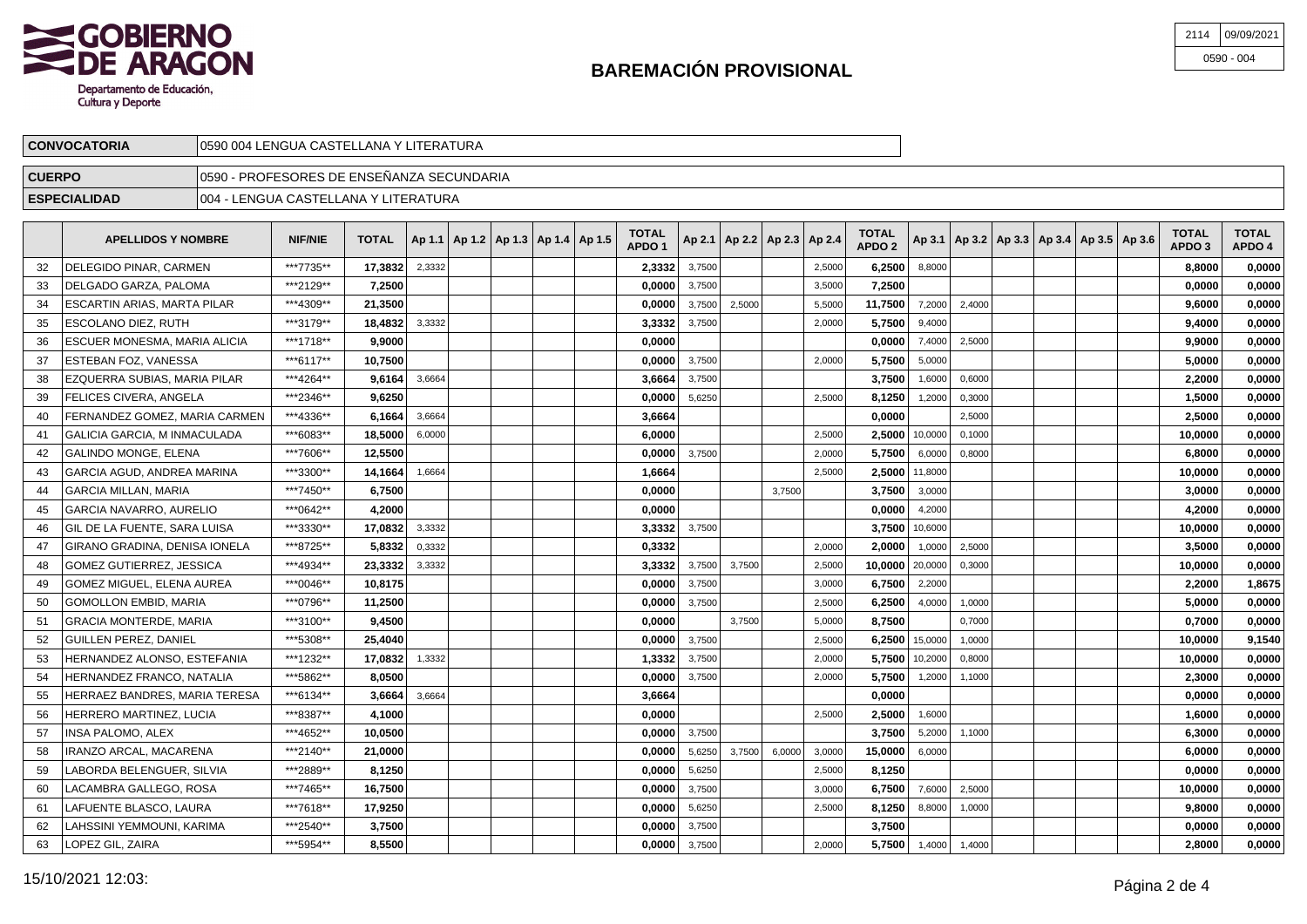

| 2114 09/09/2021 |
|-----------------|
| $0590 - 004$    |

| <b>CONVOCATORIA</b> | `Y LITERATURA<br>LENGUA CASTELLANA Y<br>10590 004 |  |
|---------------------|---------------------------------------------------|--|
| <b>CUERPO</b>       | √0590 - PROFESORES DE ENSEÑANZA SECUNDARIA        |  |
| <b>ESPECIALIDAD</b> | \ Y LITERATURA<br> 004 - LENGUA CASTELLANA        |  |

|    | <b>APELLIDOS Y NOMBRE</b>      | <b>NIF/NIE</b> | <b>TOTAL</b> |        |  | Ap 1.1   Ap 1.2   Ap 1.3   Ap 1.4   Ap 1.5 | <b>TOTAL</b><br>APDO <sub>1</sub> |        | Ap 2.1   Ap 2.2   Ap 2.3   Ap 2.4 |        |        | <b>TOTAL</b><br>APDO <sub>2</sub> |                   |        | Ap 3.1   Ap 3.2   Ap 3.3   Ap 3.4   Ap 3.5   Ap 3.6 |  | <b>TOTAL</b><br>APDO <sub>3</sub> | <b>TOTAL</b><br>APDO 4 |
|----|--------------------------------|----------------|--------------|--------|--|--------------------------------------------|-----------------------------------|--------|-----------------------------------|--------|--------|-----------------------------------|-------------------|--------|-----------------------------------------------------|--|-----------------------------------|------------------------|
| 32 | DELEGIDO PINAR, CARMEN         | ***7735**      | 17,3832      | 2.3332 |  |                                            | 2,3332                            | 3.7500 |                                   |        | 2.5000 | 6,2500                            | 8.8000            |        |                                                     |  | 8,8000                            | 0,0000                 |
| 33 | DELGADO GARZA, PALOMA          | ***2129**      | 7.2500       |        |  |                                            | 0.0000                            | 3,7500 |                                   |        | 3,5000 | 7.2500                            |                   |        |                                                     |  | 0.0000                            | 0,0000                 |
| 34 | ESCARTIN ARIAS, MARTA PILAR    | ***4309**      | 21,3500      |        |  |                                            | 0,0000                            | 3,7500 | 2,5000                            |        | 5,5000 | 11,7500                           | 7,2000            | 2,4000 |                                                     |  | 9,6000                            | 0,0000                 |
| 35 | ESCOLANO DIEZ, RUTH            | ***3179**      | 18,4832      | 3,3332 |  |                                            | 3,3332                            | 3,7500 |                                   |        | 2,0000 | 5,7500                            | 9,4000            |        |                                                     |  | 9,4000                            | 0,0000                 |
| 36 | ESCUER MONESMA, MARIA ALICIA   | ***1718**      | 9.9000       |        |  |                                            | 0,0000                            |        |                                   |        |        | 0.0000                            | 7,4000            | 2,5000 |                                                     |  | 9,9000                            | 0,0000                 |
| 37 | ESTEBAN FOZ, VANESSA           | ***6117**      | 10,7500      |        |  |                                            | 0,0000                            | 3,7500 |                                   |        | 2,0000 | 5,7500                            | 5,0000            |        |                                                     |  | 5,0000                            | 0,0000                 |
| 38 | EZQUERRA SUBIAS, MARIA PILAR   | ***4264**      | 9,6164       | 3,6664 |  |                                            | 3,6664                            | 3,7500 |                                   |        |        | 3.7500                            | 1,6000            | 0,6000 |                                                     |  | 2,2000                            | 0,0000                 |
| 39 | <b>FELICES CIVERA, ANGELA</b>  | ***2346**      | 9,6250       |        |  |                                            | 0,0000                            | 5,6250 |                                   |        | 2,5000 | 8,1250                            | 1,2000            | 0,3000 |                                                     |  | 1,5000                            | 0,0000                 |
| 40 | FERNANDEZ GOMEZ, MARIA CARMEN  | ***4336**      | 6,1664       | 3,6664 |  |                                            | 3,6664                            |        |                                   |        |        | 0.0000                            |                   | 2,5000 |                                                     |  | 2,5000                            | 0,0000                 |
| 41 | GALICIA GARCIA, M INMACULADA   | ***6083**      | 18,5000      | 6,0000 |  |                                            | 6,0000                            |        |                                   |        | 2,5000 |                                   | 2,5000 10,0000    | 0,1000 |                                                     |  | 10,0000                           | 0,0000                 |
| 42 | GALINDO MONGE. ELENA           | ***7606**      | 12.5500      |        |  |                                            | 0.0000                            | 3,7500 |                                   |        | 2,0000 | 5.7500                            | 6,0000            | 0,8000 |                                                     |  | 6.8000                            | 0.0000                 |
| 43 | GARCIA AGUD. ANDREA MARINA     | ***3300**      | 14,1664      | 1,6664 |  |                                            | 1,6664                            |        |                                   |        | 2,5000 | 2.5000                            | 11,8000           |        |                                                     |  | 10,0000                           | 0,0000                 |
| 44 | <b>GARCIA MILLAN, MARIA</b>    | ***7450**      | 6.7500       |        |  |                                            | 0,0000                            |        |                                   | 3.7500 |        | 3.7500                            | 3,0000            |        |                                                     |  | 3,0000                            | 0,0000                 |
| 45 | <b>GARCIA NAVARRO, AURELIO</b> | ***0642**      | 4,2000       |        |  |                                            | 0,0000                            |        |                                   |        |        | 0.0000                            | 4,2000            |        |                                                     |  | 4,2000                            | 0,0000                 |
| 46 | GIL DE LA FUENTE, SARA LUISA   | ***3330**      | 17,0832      | 3,3332 |  |                                            | 3,3332                            | 3,7500 |                                   |        |        |                                   | 3.7500 10,6000    |        |                                                     |  | 10.0000                           | 0,0000                 |
| 47 | GIRANO GRADINA, DENISA IONELA  | ***8725**      | 5,8332       | 0,3332 |  |                                            | 0,3332                            |        |                                   |        | 2.0000 | 2.0000                            | 1.0000            | 2,5000 |                                                     |  | 3,5000                            | 0,0000                 |
| 48 | GOMEZ GUTIERREZ. JESSICA       | ***4934**      | 23,3332      | 3,3332 |  |                                            | 3,3332                            | 3,7500 | 3,7500                            |        | 2,5000 | 10,0000                           | 20,0000           | 0,3000 |                                                     |  | 10,0000                           | 0,0000                 |
| 49 | GOMEZ MIGUEL, ELENA AUREA      | ***0046**      | 10,8175      |        |  |                                            | 0,0000                            | 3,7500 |                                   |        | 3,0000 | 6.7500                            | 2,2000            |        |                                                     |  | 2,2000                            | 1,8675                 |
| 50 | <b>GOMOLLON EMBID, MARIA</b>   | ***0796**      | 11,2500      |        |  |                                            | 0,0000                            | 3,7500 |                                   |        | 2,5000 | 6,2500                            | 4,0000            | 1,0000 |                                                     |  | 5,0000                            | 0,0000                 |
| 51 | <b>GRACIA MONTERDE, MARIA</b>  | ***3100**      | 9,4500       |        |  |                                            | 0,0000                            |        | 3,7500                            |        | 5,0000 | 8.7500                            |                   | 0,7000 |                                                     |  | 0,7000                            | 0,0000                 |
| 52 | GUILLEN PEREZ, DANIEL          | ***5308**      | 25,4040      |        |  |                                            | 0,0000                            | 3,7500 |                                   |        | 2,5000 | 6,2500                            | 15,0000           | 1,0000 |                                                     |  | 10,0000                           | 9,1540                 |
| 53 | HERNANDEZ ALONSO, ESTEFANIA    | ***1232**      | 17,0832      | 1,3332 |  |                                            | 1,3332                            | 3,7500 |                                   |        | 2,0000 | 5.7500                            | 10,2000           | 0,8000 |                                                     |  | 10,0000                           | 0,0000                 |
| 54 | HERNANDEZ FRANCO. NATALIA      | ***5862**      | 8,0500       |        |  |                                            | 0,0000                            | 3,7500 |                                   |        | 2,0000 | 5.7500                            | 1,2000            | 1,1000 |                                                     |  | 2,3000                            | 0,0000                 |
| 55 | HERRAEZ BANDRES, MARIA TERESA  | ***6134**      | 3,6664       | 3,6664 |  |                                            | 3,6664                            |        |                                   |        |        | 0,0000                            |                   |        |                                                     |  | 0,0000                            | 0,0000                 |
| 56 | HERRERO MARTINEZ, LUCIA        | ***8387**      | 4,1000       |        |  |                                            | 0,0000                            |        |                                   |        | 2,5000 | 2,5000                            | 1,6000            |        |                                                     |  | 1,6000                            | 0,0000                 |
| 57 | INSA PALOMO. ALEX              | ***4652**      | 10.0500      |        |  |                                            | 0.0000                            | 3,7500 |                                   |        |        | 3.7500                            | 5,2000            | 1,1000 |                                                     |  | 6.3000                            | 0.0000                 |
| 58 | IRANZO ARCAL. MACARENA         | ***2140**      | 21,0000      |        |  |                                            | 0.0000                            | 5.6250 | 3.7500                            | 6.0000 | 3.0000 | 15,0000                           | 6.0000            |        |                                                     |  | 6,0000                            | 0,0000                 |
| 59 | LABORDA BELENGUER. SILVIA      | ***2889**      | 8,1250       |        |  |                                            | 0.0000                            | 5,6250 |                                   |        | 2,5000 | 8.1250                            |                   |        |                                                     |  | 0.0000                            | 0.0000                 |
| 60 | LACAMBRA GALLEGO. ROSA         | ***7465**      | 16,7500      |        |  |                                            | 0,0000                            | 3,7500 |                                   |        | 3,0000 | 6,7500                            | 7,6000            | 2,5000 |                                                     |  | 10,0000                           | 0,0000                 |
| 61 | LAFUENTE BLASCO. LAURA         | ***7618**      | 17,9250      |        |  |                                            | 0,0000                            | 5,6250 |                                   |        | 2,5000 | 8,1250                            | 8,8000            | 1,0000 |                                                     |  | 9,8000                            | 0,0000                 |
| 62 | LAHSSINI YEMMOUNI. KARIMA      | ***2540**      | 3.7500       |        |  |                                            | 0.0000                            | 3,7500 |                                   |        |        | 3.7500                            |                   |        |                                                     |  | 0.0000                            | 0.0000                 |
| 63 | LOPEZ GIL. ZAIRA               | ***5954**      | 8,5500       |        |  |                                            | 0.0000                            | 3,7500 |                                   |        | 2.0000 |                                   | $5,7500$   1,4000 | 1,4000 |                                                     |  | 2.8000                            | 0,0000                 |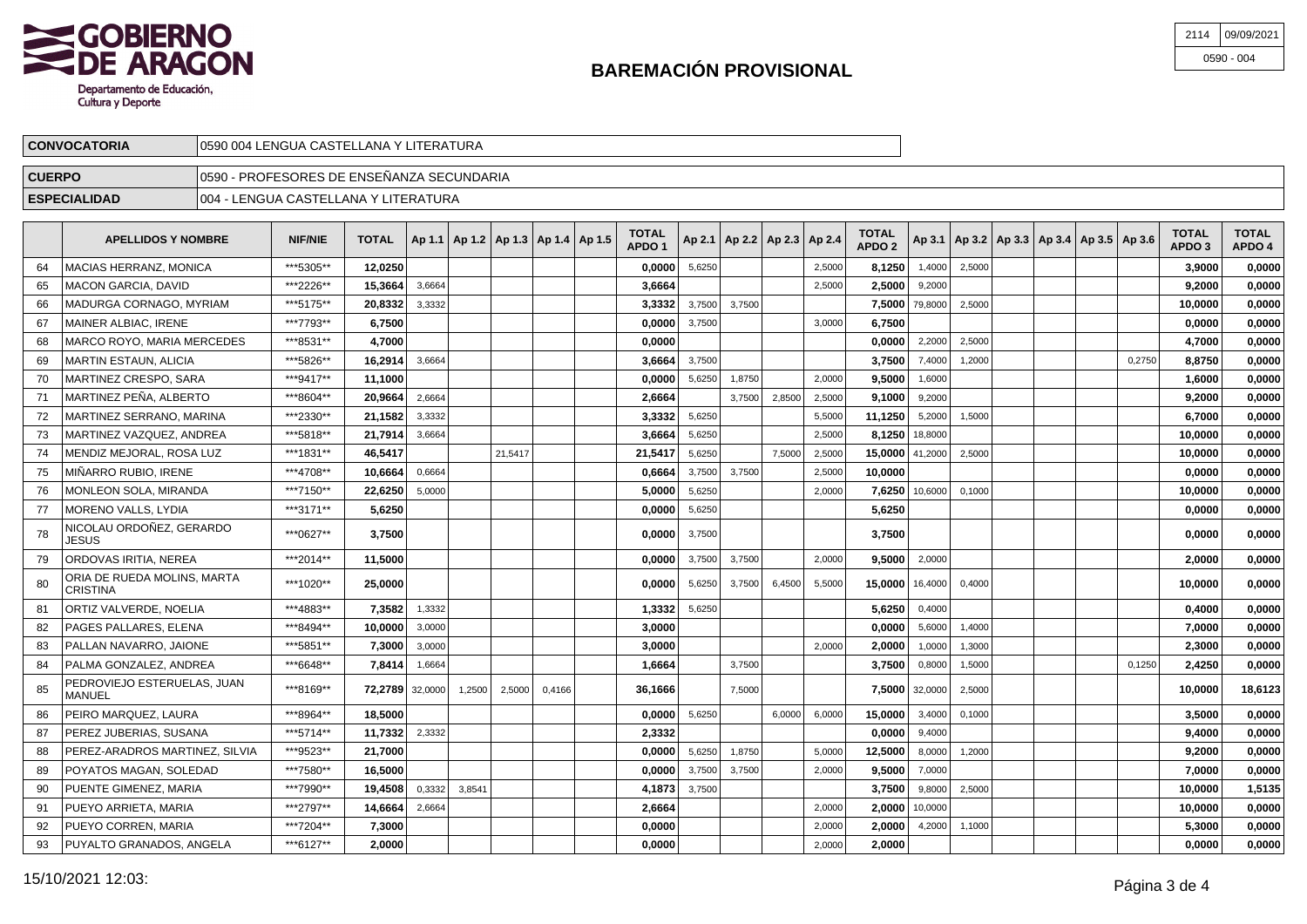

| 2114 09/09/2021 |
|-----------------|
| $0590 - 004$    |

| <b>CONVOCATORIA</b> | 10590 004 LENGUA CASTELLANA Y LITERATURA   |  |
|---------------------|--------------------------------------------|--|
| <b>CUERPO</b>       | 10590 - PROFESORES DE ENSEÑANZA SECUNDARIA |  |
| <b>ESPECIALIDAD</b> | 1004<br>1 - LENGUA CASTELLANA Y LITERATURA |  |

|    | <b>APELLIDOS Y NOMBRE</b>               | <b>NIF/NIE</b> | <b>TOTAL</b> |         | Ap 1.1   Ap 1.2   Ap 1.3   Ap 1.4   Ap 1.5 |         |        | <b>TOTAL</b><br>APDO <sub>1</sub> |        | Ap 2.1   Ap 2.2   Ap 2.3   Ap 2.4 |        |        | TOTAL<br>APDO <sub>2</sub> |                |        |  | Ap 3.1   Ap 3.2   Ap 3.3   Ap 3.4   Ap 3.5   Ap 3.6 |        | <b>TOTAL</b><br>APDO <sub>3</sub> | <b>TOTAL</b><br>APDO 4 |
|----|-----------------------------------------|----------------|--------------|---------|--------------------------------------------|---------|--------|-----------------------------------|--------|-----------------------------------|--------|--------|----------------------------|----------------|--------|--|-----------------------------------------------------|--------|-----------------------------------|------------------------|
| 64 | MACIAS HERRANZ. MONICA                  | ***5305**      | 12.0250      |         |                                            |         |        | 0,0000                            | 5,6250 |                                   |        | 2,5000 | 8,1250                     | 1,4000         | 2,5000 |  |                                                     |        | 3.9000                            | 0,0000                 |
| 65 | MACON GARCIA, DAVID                     | ***2226**      | 15,3664      | 3,6664  |                                            |         |        | 3,6664                            |        |                                   |        | 2,5000 | 2,5000                     | 9,2000         |        |  |                                                     |        | 9,2000                            | 0,0000                 |
| 66 | MADURGA CORNAGO, MYRIAM                 | ***5175**      | 20,8332      | 3,3332  |                                            |         |        | 3,3332                            | 3,7500 | 3,7500                            |        |        | 7,5000                     | 79,8000        | 2,5000 |  |                                                     |        | 10,0000                           | 0,0000                 |
| 67 | MAINER ALBIAC. IRENE                    | ***7793**      | 6.7500       |         |                                            |         |        | 0.0000                            | 3,7500 |                                   |        | 3.0000 | 6.7500                     |                |        |  |                                                     |        | 0.0000                            | 0.0000                 |
| 68 | <b>MARCO ROYO, MARIA MERCEDES</b>       | ***8531**      | 4,7000       |         |                                            |         |        | 0,0000                            |        |                                   |        |        | 0,0000                     | 2,2000         | 2,5000 |  |                                                     |        | 4,7000                            | 0,0000                 |
| 69 | <b>MARTIN ESTAUN, ALICIA</b>            | ***5826**      | 16,2914      | 3,6664  |                                            |         |        | 3,6664                            | 3,7500 |                                   |        |        | 3,7500                     | 7,4000         | 1,2000 |  |                                                     | 0,2750 | 8,8750                            | 0,0000                 |
| 70 | MARTINEZ CRESPO. SARA                   | ***9417**      | 11,1000      |         |                                            |         |        | 0.0000                            | 5,6250 | 1,8750                            |        | 2,0000 | 9.5000                     | 1,6000         |        |  |                                                     |        | 1.6000                            | 0.0000                 |
| 71 | MARTINEZ PEÑA, ALBERTO                  | ***8604**      | 20.9664      | 2,6664  |                                            |         |        | 2,6664                            |        | 3,7500                            | 2,8500 | 2,5000 | 9.1000                     | 9,2000         |        |  |                                                     |        | 9,2000                            | 0,0000                 |
| 72 | MARTINEZ SERRANO. MARINA                | ***2330**      | 21,1582      | 3,3332  |                                            |         |        | 3,3332                            | 5,6250 |                                   |        | 5,5000 | 11,1250                    | 5,2000         | 1,5000 |  |                                                     |        | 6,7000                            | 0,0000                 |
| 73 | MARTINEZ VAZQUEZ, ANDREA                | ***5818**      | 21,7914      | 3,6664  |                                            |         |        | 3,6664                            | 5,6250 |                                   |        | 2,5000 | 8,1250 18,8000             |                |        |  |                                                     |        | 10,0000                           | 0,0000                 |
| 74 | MENDIZ MEJORAL. ROSA LUZ                | ***1831**      | 46.5417      |         |                                            | 21.5417 |        | 21,5417                           | 5,6250 |                                   | 7.5000 | 2,5000 | $15,0000$ 41,2000          |                | 2,5000 |  |                                                     |        | 10.0000                           | 0,0000                 |
| 75 | MIÑARRO RUBIO, IRENE                    | ***4708**      | 10,6664      | 0,6664  |                                            |         |        | 0,6664                            | 3,7500 | 3,7500                            |        | 2,5000 | 10,0000                    |                |        |  |                                                     |        | 0,0000                            | 0,0000                 |
| 76 | MONLEON SOLA, MIRANDA                   | ***7150**      | 22,6250      | 5,0000  |                                            |         |        | 5,0000                            | 5,6250 |                                   |        | 2,0000 | 7,6250                     | 10,6000        | 0,1000 |  |                                                     |        | 10,0000                           | 0,0000                 |
| 77 | MORENO VALLS. LYDIA                     | ***3171**      | 5.6250       |         |                                            |         |        | 0,0000                            | 5,6250 |                                   |        |        | 5,6250                     |                |        |  |                                                     |        | 0.0000                            | 0,0000                 |
| 78 | NICOLAU ORDOÑEZ. GERARDO<br>JESUS       | ***0627**      | 3,7500       |         |                                            |         |        | 0.0000                            | 3,7500 |                                   |        |        | 3,7500                     |                |        |  |                                                     |        | 0.0000                            | 0,0000                 |
| 79 | ORDOVAS IRITIA, NEREA                   | ***2014**      | 11,5000      |         |                                            |         |        | 0,0000                            | 3,7500 | 3,7500                            |        | 2,0000 | 9,5000                     | 2,0000         |        |  |                                                     |        | 2,0000                            | 0,0000                 |
| 80 | ORIA DE RUEDA MOLINS. MARTA<br>CRISTINA | ***1020**      | 25,0000      |         |                                            |         |        | 0.0000                            | 5,6250 | 3,7500                            | 6,4500 | 5,5000 | 15,0000                    | 16,4000        | 0,4000 |  |                                                     |        | 10.0000                           | 0,0000                 |
| 81 | ORTIZ VALVERDE, NOELIA                  | ***4883**      | 7,3582       | 1,3332  |                                            |         |        | 1,3332                            | 5,6250 |                                   |        |        | 5,6250                     | 0,4000         |        |  |                                                     |        | 0,4000                            | 0,0000                 |
| 82 | PAGES PALLARES. ELENA                   | ***8494**      | 10.0000      | 3,0000  |                                            |         |        | 3,0000                            |        |                                   |        |        | 0.0000                     | 5,6000         | 1,4000 |  |                                                     |        | 7,0000                            | 0.0000                 |
| 83 | I PALLAN NAVARRO. JAIONE                | ***5851**      | 7,3000       | 3,0000  |                                            |         |        | 3,0000                            |        |                                   |        | 2,0000 | 2,0000                     | 1,0000         | 1,3000 |  |                                                     |        | 2,3000                            | 0,0000                 |
| 84 | PALMA GONZALEZ. ANDREA                  | ***6648**      | 7,8414       | 1,6664  |                                            |         |        | 1,6664                            |        | 3,7500                            |        |        | 3,7500                     | 0,8000         | 1,5000 |  |                                                     | 0,1250 | 2,4250                            | 0,0000                 |
| 85 | PEDROVIEJO ESTERUELAS, JUAN<br>MANUEL   | ***8169**      | 72,2789      | 32,0000 | 1,2500                                     | 2,5000  | 0,4166 | 36,1666                           |        | 7,5000                            |        |        |                            | 7,5000 32,0000 | 2,5000 |  |                                                     |        | 10,0000                           | 18,6123                |
| 86 | PEIRO MARQUEZ, LAURA                    | ***8964**      | 18.5000      |         |                                            |         |        | 0,0000                            | 5,6250 |                                   | 6,0000 | 6,0000 | 15,0000                    | 3,4000         | 0,1000 |  |                                                     |        | 3,5000                            | 0,0000                 |
| 87 | PEREZ JUBERIAS, SUSANA                  | ***5714**      | 11,7332      | 2,3332  |                                            |         |        | 2,3332                            |        |                                   |        |        | 0.0000                     | 9,4000         |        |  |                                                     |        | 9,4000                            | 0,0000                 |
| 88 | PEREZ-ARADROS MARTINEZ. SILVIA          | ***9523**      | 21,7000      |         |                                            |         |        | 0,0000                            | 5,6250 | 1,8750                            |        | 5,0000 | 12,5000                    | 8,0000         | 1,2000 |  |                                                     |        | 9,2000                            | 0,0000                 |
| 89 | POYATOS MAGAN, SOLEDAD                  | ***7580**      | 16.5000      |         |                                            |         |        | 0.0000                            | 3,7500 | 3,7500                            |        | 2,0000 | 9.5000                     | 7,0000         |        |  |                                                     |        | 7,0000                            | 0,0000                 |
| 90 | PUENTE GIMENEZ, MARIA                   | ***7990**      | 19,4508      | 0,3332  | 3,8541                                     |         |        | 4,1873                            | 3,7500 |                                   |        |        | 3,7500                     | 9,8000         | 2,5000 |  |                                                     |        | 10,0000                           | 1,5135                 |
| 91 | PUEYO ARRIETA, MARIA                    | ***2797**      | 14,6664      | 2,6664  |                                            |         |        | 2,6664                            |        |                                   |        | 2,0000 | 2,0000                     | 10,0000        |        |  |                                                     |        | 10,0000                           | 0,0000                 |
| 92 | PUEYO CORREN, MARIA                     | ***7204**      | 7,3000       |         |                                            |         |        | 0,0000                            |        |                                   |        | 2.0000 | 2.0000                     | 4,2000         | 1.1000 |  |                                                     |        | 5.3000                            | 0.0000                 |
| 93 | PUYALTO GRANADOS, ANGELA                | ***6127**      | 2.0000       |         |                                            |         |        | 0.0000                            |        |                                   |        | 2.0000 | 2.0000                     |                |        |  |                                                     |        | 0.0000                            | 0.0000                 |